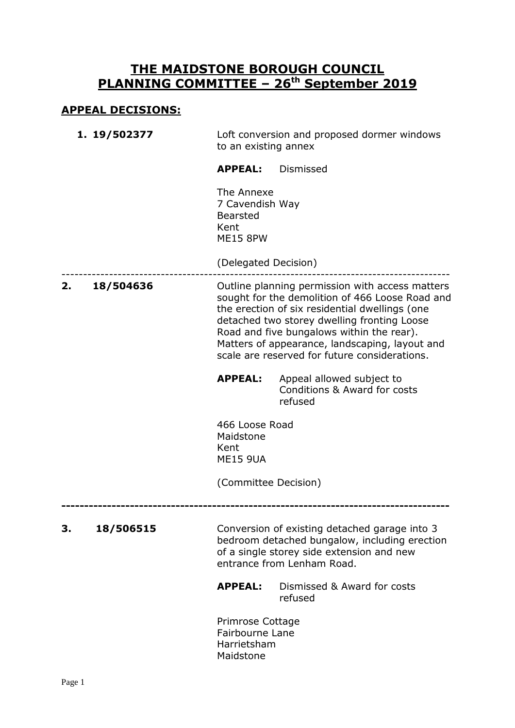## **THE MAIDSTONE BOROUGH COUNCIL PLANNING COMMITTEE – 26th September 2019**

## **APPEAL DECISIONS:**

**1. 19/502377** Loft conversion and proposed dormer windows to an existing annex

**APPEAL:** Dismissed

The Annexe 7 Cavendish Way Bearsted Kent ME15 8PW

(Delegated Decision)

------------------------------------------------------------------------------------------ **2. 18/504636** Outline planning permission with access matters sought for the demolition of 466 Loose Road and the erection of six residential dwellings (one detached two storey dwelling fronting Loose Road and five bungalows within the rear). Matters of appearance, landscaping, layout and scale are reserved for future considerations.

**APPEAL:** Appeal allowed subject to Conditions & Award for costs refused

466 Loose Road Maidstone Kent ME15 9UA

(Committee Decision)

**-------------------------------------------------------------------------------------**

**3. 18/506515** Conversion of existing detached garage into 3 bedroom detached bungalow, including erection of a single storey side extension and new entrance from Lenham Road.

> **APPEAL:** Dismissed & Award for costs refused

Primrose Cottage Fairbourne Lane Harrietsham Maidstone